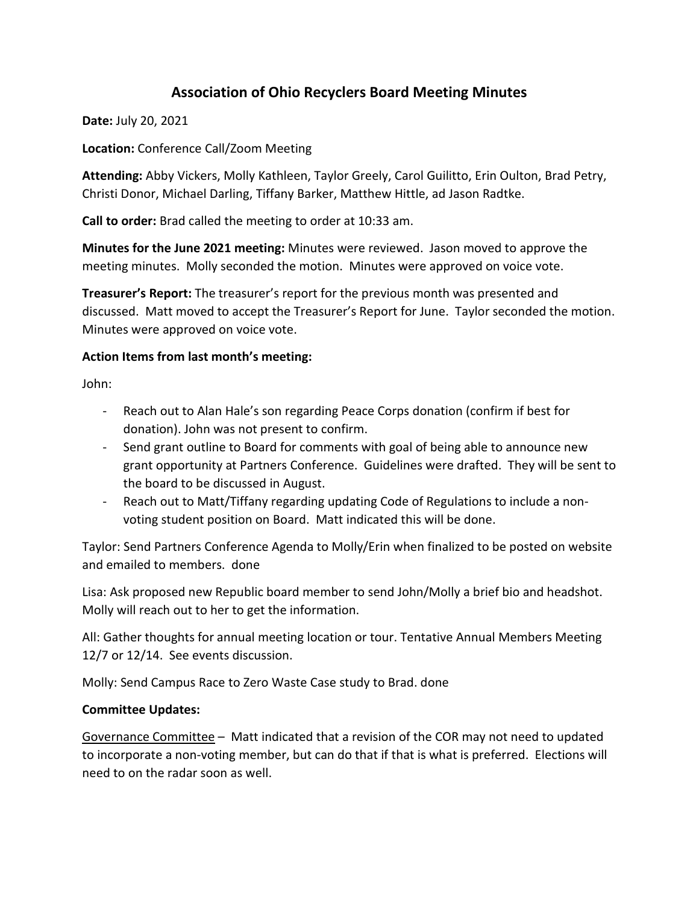# **Association of Ohio Recyclers Board Meeting Minutes**

**Date:** July 20, 2021

**Location:** Conference Call/Zoom Meeting

**Attending:** Abby Vickers, Molly Kathleen, Taylor Greely, Carol Guilitto, Erin Oulton, Brad Petry, Christi Donor, Michael Darling, Tiffany Barker, Matthew Hittle, ad Jason Radtke.

**Call to order:** Brad called the meeting to order at 10:33 am.

**Minutes for the June 2021 meeting:** Minutes were reviewed. Jason moved to approve the meeting minutes. Molly seconded the motion. Minutes were approved on voice vote.

**Treasurer's Report:** The treasurer's report for the previous month was presented and discussed. Matt moved to accept the Treasurer's Report for June. Taylor seconded the motion. Minutes were approved on voice vote.

### **Action Items from last month's meeting:**

John:

- Reach out to Alan Hale's son regarding Peace Corps donation (confirm if best for donation). John was not present to confirm.
- Send grant outline to Board for comments with goal of being able to announce new grant opportunity at Partners Conference. Guidelines were drafted. They will be sent to the board to be discussed in August.
- Reach out to Matt/Tiffany regarding updating Code of Regulations to include a nonvoting student position on Board. Matt indicated this will be done.

Taylor: Send Partners Conference Agenda to Molly/Erin when finalized to be posted on website and emailed to members. done

Lisa: Ask proposed new Republic board member to send John/Molly a brief bio and headshot. Molly will reach out to her to get the information.

All: Gather thoughts for annual meeting location or tour. Tentative Annual Members Meeting 12/7 or 12/14. See events discussion.

Molly: Send Campus Race to Zero Waste Case study to Brad. done

#### **Committee Updates:**

Governance Committee – Matt indicated that a revision of the COR may not need to updated to incorporate a non-voting member, but can do that if that is what is preferred. Elections will need to on the radar soon as well.